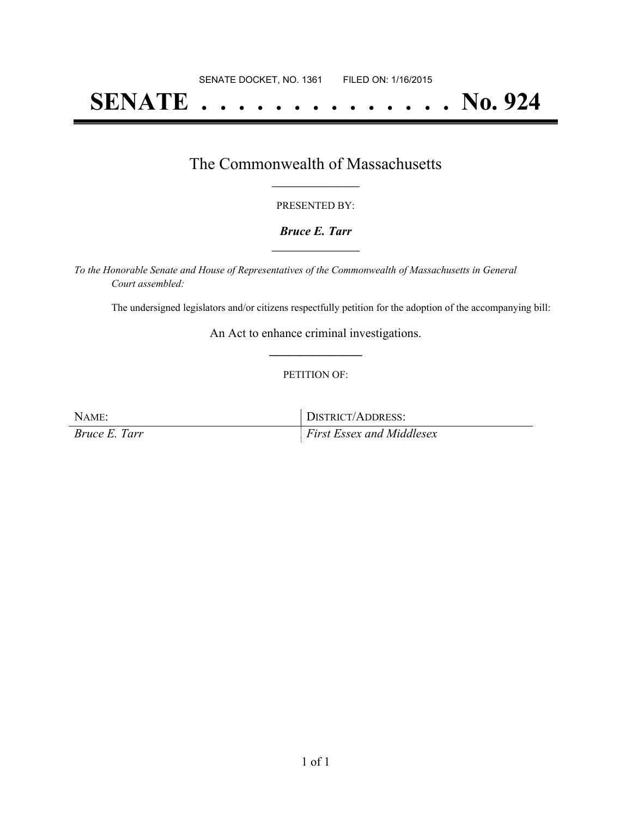# **SENATE . . . . . . . . . . . . . . No. 924**

### The Commonwealth of Massachusetts **\_\_\_\_\_\_\_\_\_\_\_\_\_\_\_\_\_**

#### PRESENTED BY:

#### *Bruce E. Tarr* **\_\_\_\_\_\_\_\_\_\_\_\_\_\_\_\_\_**

*To the Honorable Senate and House of Representatives of the Commonwealth of Massachusetts in General Court assembled:*

The undersigned legislators and/or citizens respectfully petition for the adoption of the accompanying bill:

An Act to enhance criminal investigations. **\_\_\_\_\_\_\_\_\_\_\_\_\_\_\_**

#### PETITION OF:

NAME: DISTRICT/ADDRESS: *Bruce E. Tarr First Essex and Middlesex*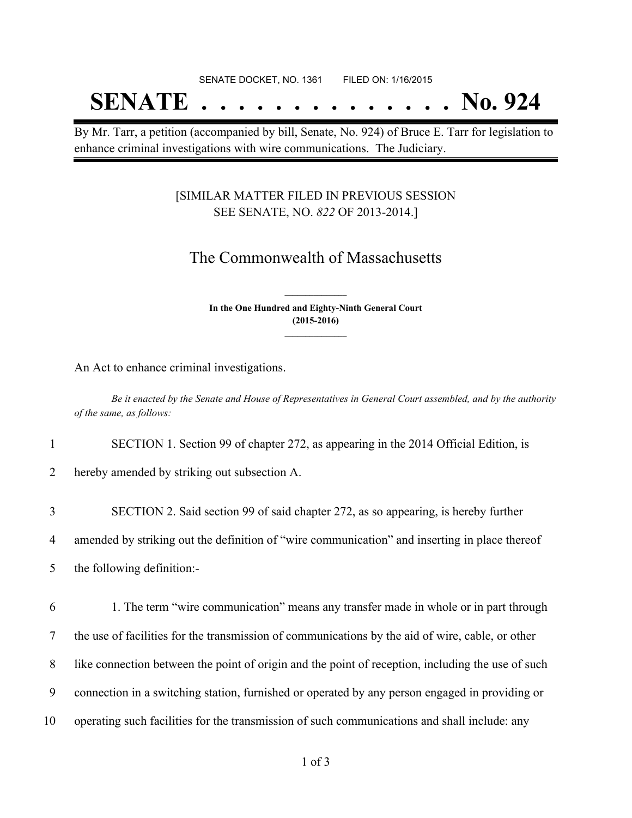# SENATE DOCKET, NO. 1361 FILED ON: 1/16/2015 **SENATE . . . . . . . . . . . . . . No. 924**

By Mr. Tarr, a petition (accompanied by bill, Senate, No. 924) of Bruce E. Tarr for legislation to enhance criminal investigations with wire communications. The Judiciary.

#### [SIMILAR MATTER FILED IN PREVIOUS SESSION SEE SENATE, NO. *822* OF 2013-2014.]

## The Commonwealth of Massachusetts

**In the One Hundred and Eighty-Ninth General Court (2015-2016) \_\_\_\_\_\_\_\_\_\_\_\_\_\_\_**

**\_\_\_\_\_\_\_\_\_\_\_\_\_\_\_**

An Act to enhance criminal investigations.

Be it enacted by the Senate and House of Representatives in General Court assembled, and by the authority *of the same, as follows:*

1 SECTION 1. Section 99 of chapter 272, as appearing in the 2014 Official Edition, is

2 hereby amended by striking out subsection A.

 SECTION 2. Said section 99 of said chapter 272, as so appearing, is hereby further amended by striking out the definition of "wire communication" and inserting in place thereof the following definition:- 1. The term "wire communication" means any transfer made in whole or in part through the use of facilities for the transmission of communications by the aid of wire, cable, or other like connection between the point of origin and the point of reception, including the use of such connection in a switching station, furnished or operated by any person engaged in providing or operating such facilities for the transmission of such communications and shall include: any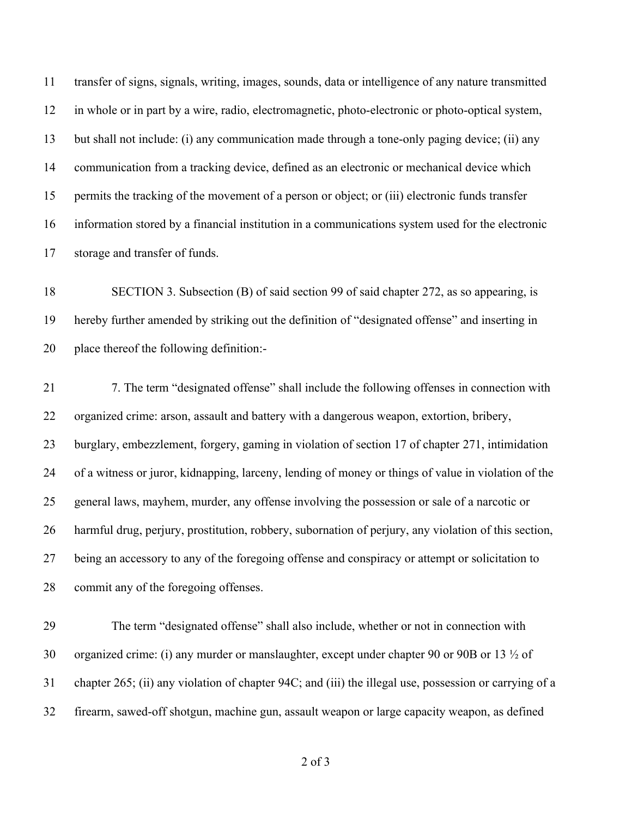transfer of signs, signals, writing, images, sounds, data or intelligence of any nature transmitted in whole or in part by a wire, radio, electromagnetic, photo-electronic or photo-optical system, but shall not include: (i) any communication made through a tone-only paging device; (ii) any communication from a tracking device, defined as an electronic or mechanical device which permits the tracking of the movement of a person or object; or (iii) electronic funds transfer information stored by a financial institution in a communications system used for the electronic storage and transfer of funds.

 SECTION 3. Subsection (B) of said section 99 of said chapter 272, as so appearing, is hereby further amended by striking out the definition of "designated offense" and inserting in place thereof the following definition:-

 7. The term "designated offense" shall include the following offenses in connection with organized crime: arson, assault and battery with a dangerous weapon, extortion, bribery, burglary, embezzlement, forgery, gaming in violation of section 17 of chapter 271, intimidation of a witness or juror, kidnapping, larceny, lending of money or things of value in violation of the general laws, mayhem, murder, any offense involving the possession or sale of a narcotic or harmful drug, perjury, prostitution, robbery, subornation of perjury, any violation of this section, being an accessory to any of the foregoing offense and conspiracy or attempt or solicitation to commit any of the foregoing offenses.

 The term "designated offense" shall also include, whether or not in connection with organized crime: (i) any murder or manslaughter, except under chapter 90 or 90B or 13 ½ of chapter 265; (ii) any violation of chapter 94C; and (iii) the illegal use, possession or carrying of a firearm, sawed-off shotgun, machine gun, assault weapon or large capacity weapon, as defined

of 3